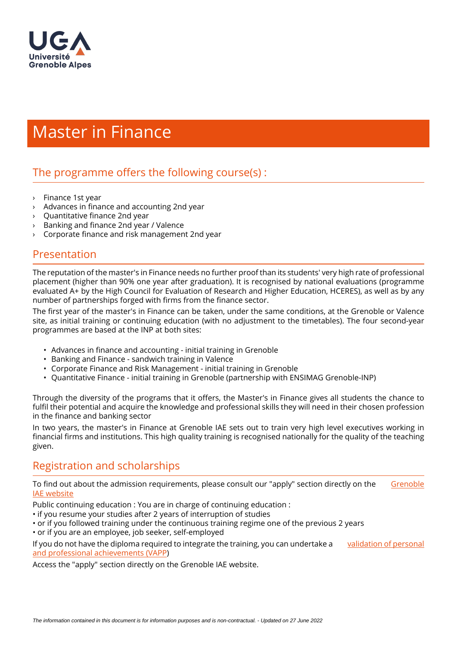

# Master in Finance

## The programme offers the following course $(s)$ :

- › Finance 1st year
- $\rightarrow$  Advances in finance and accounting 2nd year
- $\rightarrow$  Quantitative finance 2nd year
- $\frac{1}{2}$  Banking and finance 2nd year / Valence
- Corporate finance and risk management 2nd year

#### Presentation

The reputation of the master's in Finance needs no further proof than its students' very high rate of professional placement (higher than 90% one year after graduation). It is recognised by national evaluations (programme evaluated A+ by the High Council for Evaluation of Research and Higher Education, HCERES), as well as by any number of partnerships forged with firms from the finance sector.

The first year of the master's in Finance can be taken, under the same conditions, at the Grenoble or Valence site, as initial training or continuing education (with no adjustment to the timetables). The four second-year programmes are based at the INP at both sites:

- Advances in finance and accounting initial training in Grenoble
- Banking and Finance sandwich training in Valence
- Corporate Finance and Risk Management initial training in Grenoble
- Quantitative Finance initial training in Grenoble (partnership with ENSIMAG Grenoble-INP)

Through the diversity of the programs that it offers, the Master's in Finance gives all students the chance to fulfil their potential and acquire the knowledge and professional skills they will need in their chosen profession in the finance and banking sector

In two years, the master's in Finance at Grenoble IAE sets out to train very high level executives working in financial firms and institutions. This high quality training is recognised nationally for the quality of the teaching given.

#### Registration and scholarships

To find out about the admission requirements, please consult our "apply" section directly on the Grenoble [IAE website](https://www.grenoble-iae.fr/menu-principal/apply/)

Public continuing education : You are in charge of continuing education :

- if you resume your studies after 2 years of interruption of studies
- or if you followed training under the continuous training regime one of the previous 2 years
- or if you are an employee, job seeker, self-employed

If you do not have the diploma required to integrate the training, you can undertake a [validation of personal](https://www.univ-grenoble-alpes.fr/fr/grandes-missions/formation/formation-continue-et-alternance/formations-diplomantes/validation-des-acquis-professionnels-et-personnels-vapp--34040.kjsp?RH=1464601283434)  [and professional achievements \(VAPP](https://www.univ-grenoble-alpes.fr/fr/grandes-missions/formation/formation-continue-et-alternance/formations-diplomantes/validation-des-acquis-professionnels-et-personnels-vapp--34040.kjsp?RH=1464601283434))

Access the "apply" section directly on the Grenoble IAE website.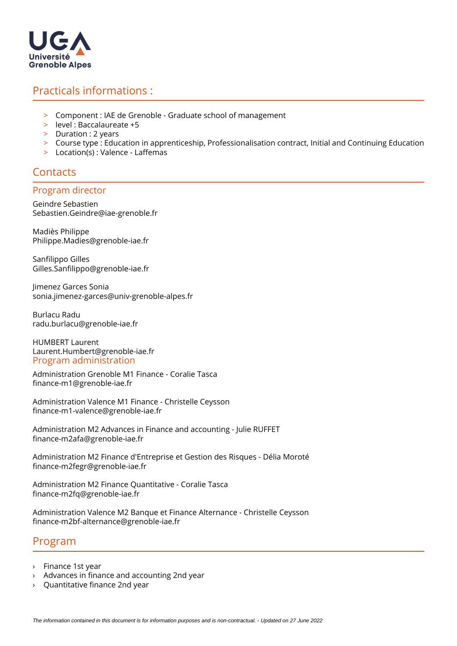

### Practicals informations :

- > Component : IAE de Grenoble Graduate school of management
- > level : Baccalaureate +5
- > Duration : 2 years
- > Course type : Education in apprenticeship, Professionalisation contract, Initial and Continuing Education
- $>$  Location(s) : Valence Laffemas

### **Contacts**

#### Program director

Geindre Sebastien Sebastien.Geindre@iae-grenoble.fr

Madiès Philippe Philippe.Madies@grenoble-iae.fr

Sanfilippo Gilles Gilles.Sanfilippo@grenoble-iae.fr

Jimenez Garces Sonia sonia.jimenez-garces@univ-grenoble-alpes.fr

Burlacu Radu radu.burlacu@grenoble-iae.fr

HUMBERT Laurent Laurent.Humbert@grenoble-iae.fr Program administration

Administration Grenoble M1 Finance - Coralie Tasca nance-m1@grenoble-iae.fr

Administration Valence M1 Finance - Christelle Ceysson nance-m1-valence@grenoble-iae.fr

Administration M2 Advances in Finance and accounting - Julie RUFFET nance-m2afa@grenoble-iae.fr

Administration M2 Finance d'Entreprise et Gestion des Risques - Délia Moroté nance-m2fegr@grenoble-iae.fr

Administration M2 Finance Quantitative - Coralie Tasca nance-m2fq@grenoble-iae.fr

Administration Valence M2 Banque et Finance Alternance - Christelle Ceysson nance-m2bf-alternance@grenoble-iae.fr

#### Program

- › Finance 1st year
- $\rightarrow$  Advances in finance and accounting 2nd year
- Quantitative finance 2nd year